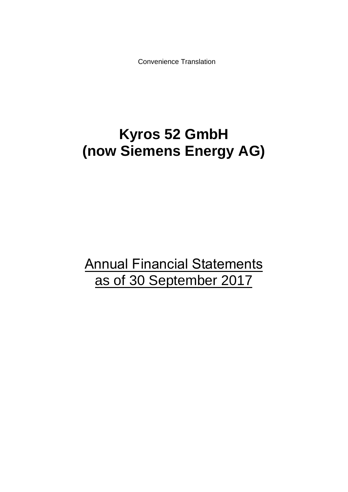Convenience Translation

# **Kyros 52 GmbH (now Siemens Energy AG)**

Annual Financial Statements as of 30 September 2017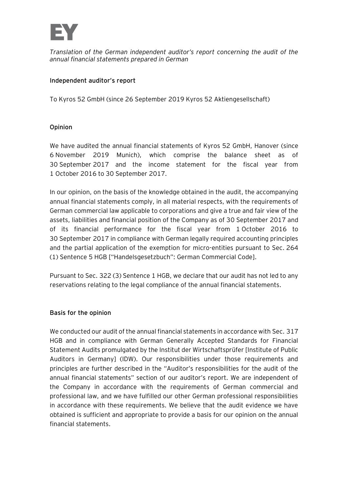

*Translation of the German independent auditor's report concerning the audit of the annual financial statements prepared in German*

### Independent auditor's report

To Kyros 52 GmbH (since 26 September 2019 Kyros 52 Aktiengesellschaft)

### **Opinion**

We have audited the annual financial statements of Kyros 52 GmbH, Hanover (since November 2019 Munich), which comprise the balance sheet as of September 2017 and the income statement for the fiscal year from October 2016 to 30 September 2017.

In our opinion, on the basis of the knowledge obtained in the audit, the accompanying annual financial statements comply, in all material respects, with the requirements of German commercial law applicable to corporations and give a true and fair view of the assets, liabilities and financial position of the Company as of 30 September 2017 and of its financial performance for the fiscal year from 1 October 2016 to 30 September 2017 in compliance with German legally required accounting principles and the partial application of the exemption for micro-entities pursuant to Sec. 264 (1) Sentence 5 HGB ["Handelsgesetzbuch": German Commercial Code].

Pursuant to Sec. 322 (3) Sentence 1 HGB, we declare that our audit has not led to any reservations relating to the legal compliance of the annual financial statements.

#### **Basis for the opinion**

We conducted our audit of the annual financial statements in accordance with Sec. 317 HGB and in compliance with German Generally Accepted Standards for Financial Statement Audits promulgated by the Institut der Wirtschaftsprüfer [Institute of Public Auditors in Germany] (IDW). Our responsibilities under those requirements and principles are further described in the "Auditor's responsibilities for the audit of the annual financial statements" section of our auditor's report. We are independent of the Company in accordance with the requirements of German commercial and professional law, and we have fulfilled our other German professional responsibilities in accordance with these requirements. We believe that the audit evidence we have obtained is sufficient and appropriate to provide a basis for our opinion on the annual financial statements.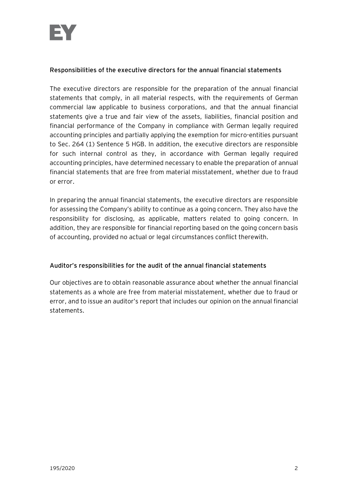## **Responsibilities of the executive directors for the annual financial statements**

The executive directors are responsible for the preparation of the annual financial statements that comply, in all material respects, with the requirements of German commercial law applicable to business corporations, and that the annual financial statements give a true and fair view of the assets, liabilities, financial position and financial performance of the Company in compliance with German legally required accounting principles and partially applying the exemption for micro-entities pursuant to Sec. 264 (1) Sentence 5 HGB. In addition, the executive directors are responsible for such internal control as they, in accordance with German legally required accounting principles, have determined necessary to enable the preparation of annual financial statements that are free from material misstatement, whether due to fraud or error.

In preparing the annual financial statements, the executive directors are responsible for assessing the Company's ability to continue as a going concern. They also have the responsibility for disclosing, as applicable, matters related to going concern. In addition, they are responsible for financial reporting based on the going concern basis of accounting, provided no actual or legal circumstances conflict therewith.

# Auditor's responsibilities for the audit of the annual financial statements

Our objectives are to obtain reasonable assurance about whether the annual financial statements as a whole are free from material misstatement, whether due to fraud or error, and to issue an auditor's report that includes our opinion on the annual financial statements.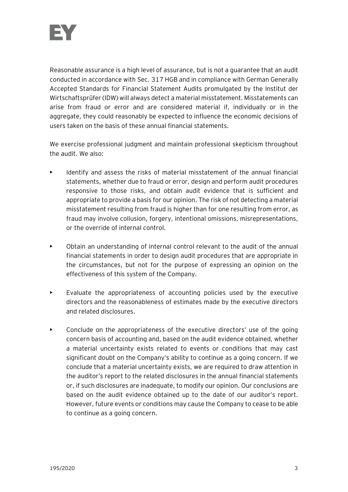

Reasonable assurance is a high level of assurance, but is not a guarantee that an audit conducted in accordance with Sec. 317 HGB and in compliance with German Generally Accepted Standards for Financial Statement Audits promulgated by the Institut der Wirtschaftsprüfer (IDW) will always detect a material misstatement. Misstatements can arise from fraud or error and are considered material if, individually or in the aggregate, they could reasonably be expected to influence the economic decisions of users taken on the basis of these annual financial statements.

We exercise professional judgment and maintain professional skepticism throughout the audit. We also:

- Identify and assess the risks of material misstatement of the annual financial statements, whether due to fraud or error, design and perform audit procedures responsive to those risks, and obtain audit evidence that is sufficient and appropriate to provide a basis for our opinion. The risk of not detecting a material misstatement resulting from fraud is higher than for one resulting from error, as fraud may involve collusion, forgery, intentional omissions, misrepresentations, or the override of internal control.
- Obtain an understanding of internal control relevant to the audit of the annual financial statements in order to design audit procedures that are appropriate in the circumstances, but not for the purpose of expressing an opinion on the effectiveness of this system of the Company.
- Evaluate the appropriateness of accounting policies used by the executive directors and the reasonableness of estimates made by the executive directors and related disclosures.
- Conclude on the appropriateness of the executive directors' use of the going concern basis of accounting and, based on the audit evidence obtained, whether a material uncertainty exists related to events or conditions that may cast significant doubt on the Company's ability to continue as a going concern. If we conclude that a material uncertainty exists, we are required to draw attention in the auditor's report to the related disclosures in the annual financial statements or, if such disclosures are inadequate, to modify our opinion. Our conclusions are based on the audit evidence obtained up to the date of our auditor's report. However, future events or conditions may cause the Company to cease to be able to continue as a going concern.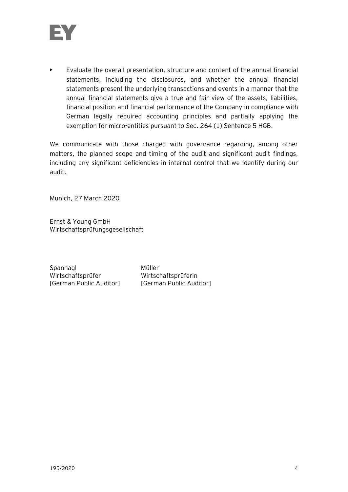

 $\blacktriangleright$  Evaluate the overall presentation, structure and content of the annual financial statements, including the disclosures, and whether the annual financial statements present the underlying transactions and events in a manner that the annual financial statements give a true and fair view of the assets, liabilities, financial position and financial performance of the Company in compliance with German legally required accounting principles and partially applying the exemption for micro-entities pursuant to Sec. 264 (1) Sentence 5 HGB.

We communicate with those charged with governance regarding, among other matters, the planned scope and timing of the audit and significant audit findings, including any significant deficiencies in internal control that we identify during our audit.

Munich, 27 March 2020

Ernst & Young GmbH Wirtschaftsprüfungsgesellschaft

Spannagl Müller Wirtschaftsprüfer Wirtschaftsprüferin [German Public Auditor] [German Public Auditor]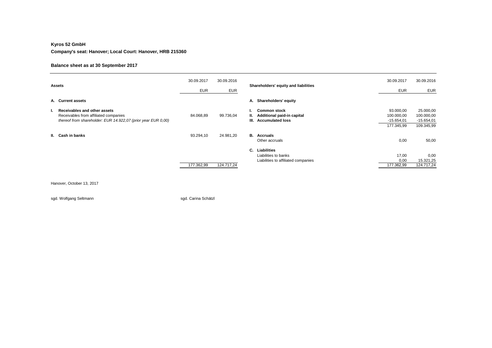#### **Kyros 52 GmbH**

**Company's seat: Hanover; Local Court: Hanover, HRB 215360** 

#### **Balance sheet as at 30 September 2017**

| <b>Assets</b> |                                                                                                                                        | 30.09.2017<br><b>EUR</b> | 30.09.2016<br><b>EUR</b> | Shareholders' equity and liabilities                                                 | 30.09.2017<br><b>EUR</b>                              | 30.09.2016<br><b>EUR</b>                              |
|---------------|----------------------------------------------------------------------------------------------------------------------------------------|--------------------------|--------------------------|--------------------------------------------------------------------------------------|-------------------------------------------------------|-------------------------------------------------------|
|               | A. Current assets                                                                                                                      |                          |                          | A. Shareholders' equity                                                              |                                                       |                                                       |
| ь.            | Receivables and other assets<br>Receivables from affiliated companies<br>thereof from shareholder: EUR 14.922,07 (prior year EUR 0,00) | 84.068,89                | 99.736,04                | <b>Common stock</b><br>Additional paid-in capital<br><b>Accumulated loss</b><br>III. | 93.000,00<br>100.000,00<br>$-15.654,01$<br>177.345,99 | 25.000,00<br>100.000,00<br>$-15.654,01$<br>109.345,99 |
|               | II. Cash in banks                                                                                                                      | 93.294,10                | 24.981,20                | <b>B.</b> Accruals<br>Other accruals                                                 | 0,00                                                  | 50,00                                                 |
|               |                                                                                                                                        | 177.362,99               | 124.717,24               | C.<br>Liabilities<br>Liabilities to banks<br>Liabilities to affiliated companies     | 17,00<br>0,00<br>177.362,99                           | 0,00<br>15.321,25<br>124.717,24                       |

Hanover, October 13, 2017

sgd. Wolfgang Seltmann sgad. Carina Schätzl